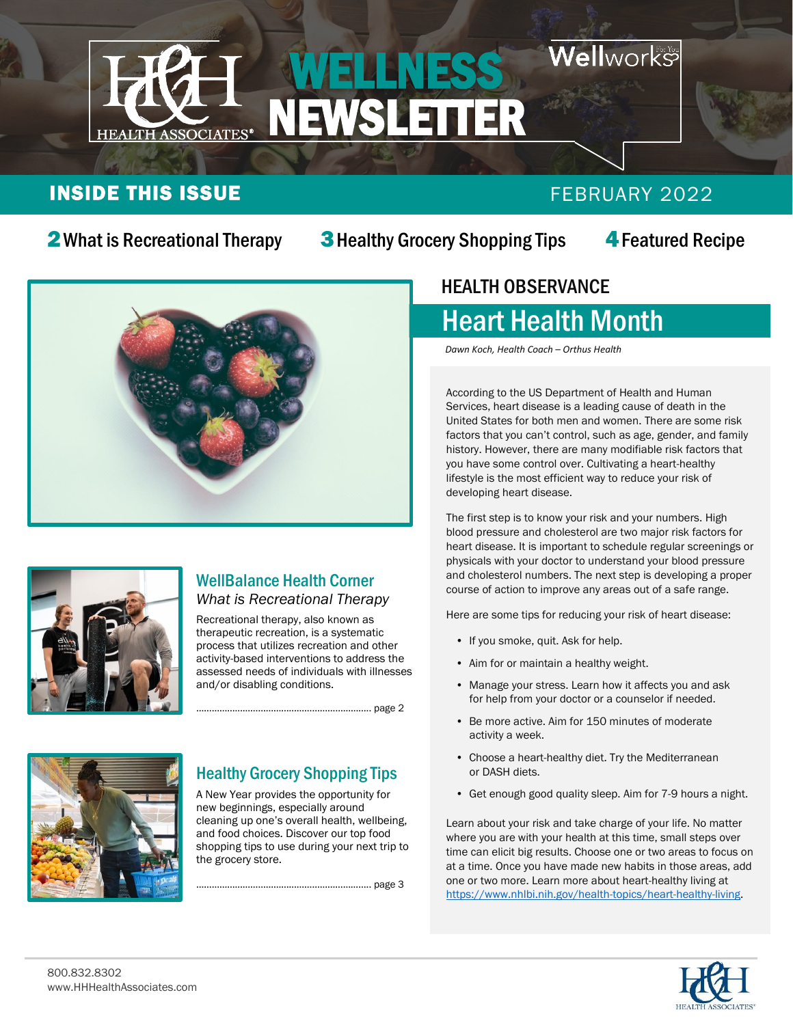

### **INSIDE THIS ISSUE FEBRUARY 2022**

2What is Recreational Therapy

**3** Healthy Grocery Shopping Tips

4Featured Recipe





#### WellBalance Health Corner *What is Recreational Therapy*

Recreational therapy, also known as therapeutic recreation, is a systematic process that utilizes recreation and other activity-based interventions to address the assessed needs of individuals with illnesses and/or disabling conditions.

………………… page 2



#### Healthy Grocery Shopping Tips

A New Year provides the opportunity for new beginnings, especially around cleaning up one's overall health, wellbeing, and food choices. Discover our top food shopping tips to use during your next trip to the grocery store.

………………………………………………………….. page 3

#### HEALTH OBSERVANCE  $\overline{a}$

## Heart Health Month

*Dawn Koch, Health Coach – Orthus Health*

According to the US Department of Health and Human Services, heart disease is a leading cause of death in the United States for both men and women. There are some risk factors that you can't control, such as age, gender, and family history. However, there are many modifiable risk factors that you have some control over. Cultivating a heart-healthy lifestyle is the most efficient way to reduce your risk of developing heart disease.

The first step is to know your risk and your numbers. High blood pressure and cholesterol are two major risk factors for heart disease. It is important to schedule regular screenings or physicals with your doctor to understand your blood pressure and cholesterol numbers. The next step is developing a proper course of action to improve any areas out of a safe range.

Here are some tips for reducing your risk of heart disease:

- If you smoke, quit. Ask for help.
- Aim for or maintain a healthy weight.
- Manage your stress. Learn how it affects you and ask for help from your doctor or a counselor if needed.
- Be more active. Aim for 150 minutes of moderate activity a week.
- Choose a heart-healthy diet. Try the Mediterranean or DASH diets.
- Get enough good quality sleep. Aim for 7-9 hours a night.

Learn about your risk and take charge of your life. No matter where you are with your health at this time, small steps over time can elicit big results. Choose one or two areas to focus on at a time. Once you have made new habits in those areas, add one or two more. Learn more about heart-healthy living at [https://www.nhlbi.nih.gov/health-topics/heart-healthy-living.](https://www.nhlbi.nih.gov/health-topics/heart-healthy-living)



 $\ddot{\phantom{0}}$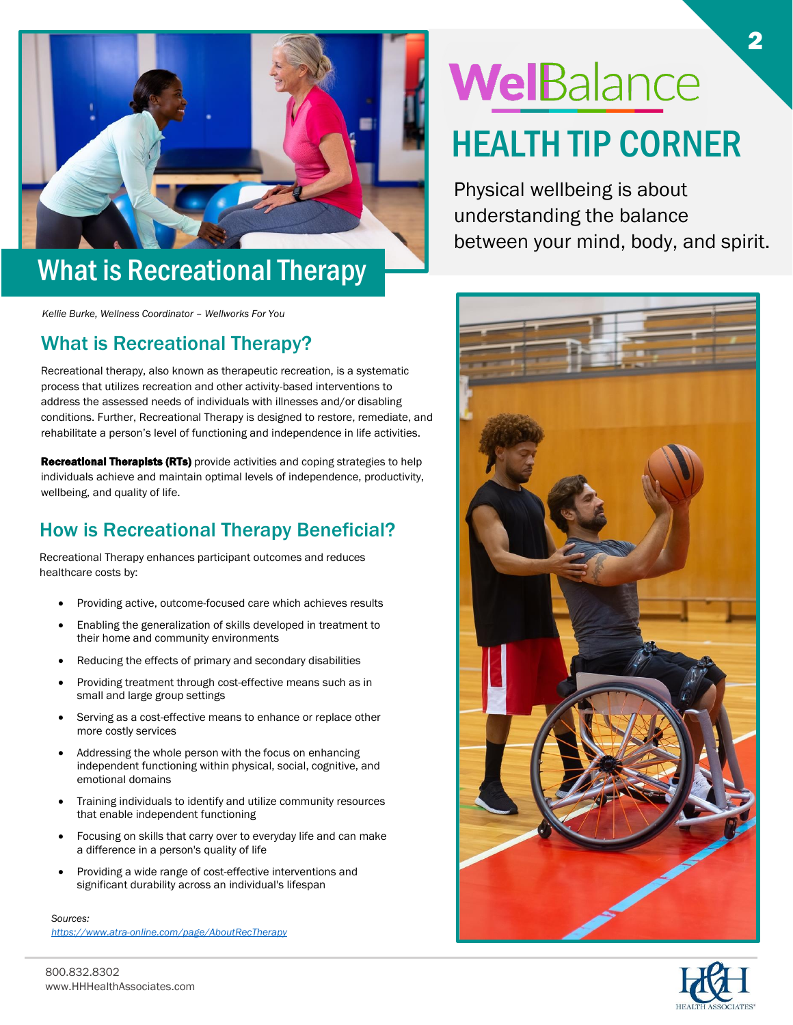

## What is Recreational Therapy

*Kellie Burke, Wellness Coordinator – Wellworks For You*

#### What is Recreational Therapy?

Recreational therapy, also known as therapeutic recreation, is a systematic process that utilizes recreation and other activity-based interventions to address the assessed needs of individuals with illnesses and/or disabling conditions. Further, Recreational Therapy is designed to restore, remediate, and rehabilitate a person's level of functioning and independence in life activities.

**Recreational Therapists (RTs)** provide activities and coping strategies to help individuals achieve and maintain optimal levels of independence, productivity, wellbeing, and quality of life.

#### How is Recreational Therapy Beneficial?

Recreational Therapy enhances participant outcomes and reduces healthcare costs by:

- Providing active, outcome-focused care which achieves results
- Enabling the generalization of skills developed in treatment to their home and community environments
- Reducing the effects of primary and secondary disabilities
- Providing treatment through cost-effective means such as in small and large group settings
- Serving as a cost-effective means to enhance or replace other more costly services
- Addressing the whole person with the focus on enhancing independent functioning within physical, social, cognitive, and emotional domains
- Training individuals to identify and utilize community resources that enable independent functioning
- Focusing on skills that carry over to everyday life and can make a difference in a person's quality of life
- Providing a wide range of cost-effective interventions and significant durability across an individual's lifespan

*Sources: <https://www.atra-online.com/page/AboutRecTherapy>*

# WelBalance HEALTH TIP CORNER

Physical wellbeing is about understanding the balance between your mind, body, and spirit.



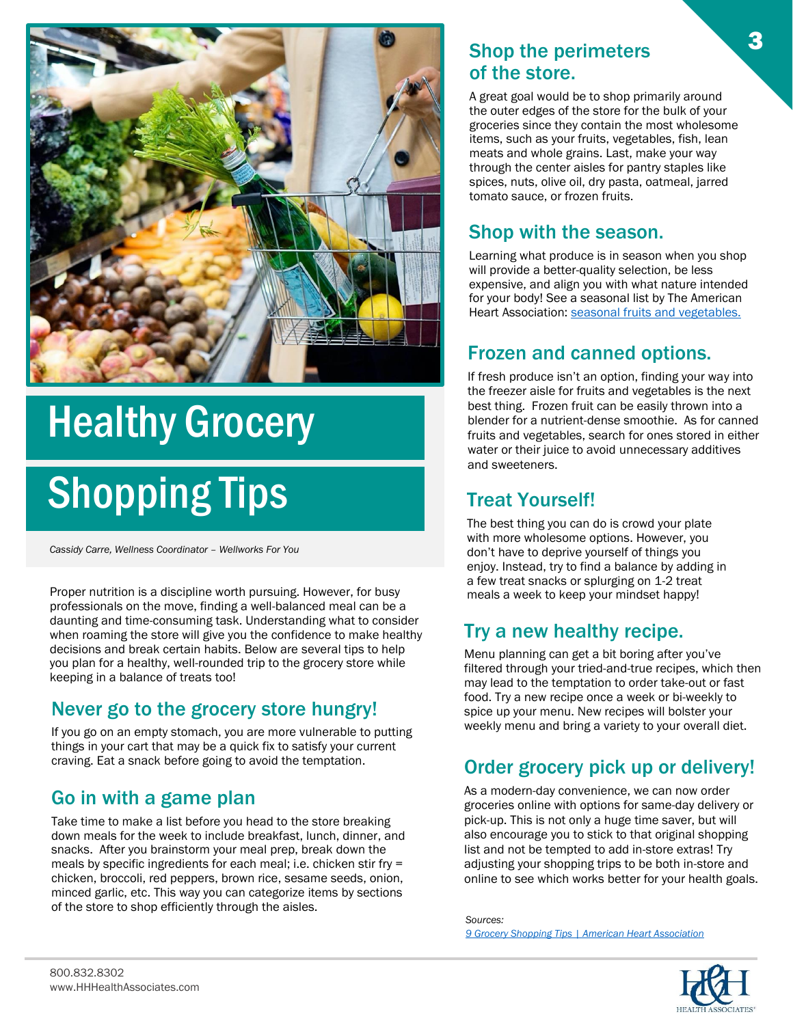

# Healthy Grocery

# Shopping Tips

*Cassidy Carre, Wellness Coordinator – Wellworks For You*

Proper nutrition is a discipline worth pursuing. However, for busy meals a week to keep your mindset happy! professionals on the move, finding a well-balanced meal can be a daunting and time-consuming task. Understanding what to consider when roaming the store will give you the confidence to make healthy decisions and break certain habits. Below are several tips to help you plan for a healthy, well-rounded trip to the grocery store while keeping in a balance of treats too!

#### Never go to the grocery store hungry!

If you go on an empty stomach, you are more vulnerable to putting things in your cart that may be a quick fix to satisfy your current craving. Eat a snack before going to avoid the temptation.

#### Go in with a game plan

Take time to make a list before you head to the store breaking down meals for the week to include breakfast, lunch, dinner, and snacks. After you brainstorm your meal prep, break down the meals by specific ingredients for each meal; i.e. chicken stir fry = chicken, broccoli, red peppers, brown rice, sesame seeds, onion, minced garlic, etc. This way you can categorize items by sections of the store to shop efficiently through the aisles.

#### Shop the perimeters of the store.

A great goal would be to shop primarily around the outer edges of the store for the bulk of your groceries since they contain the most wholesome items, such as your fruits, vegetables, fish, lean meats and whole grains. Last, make your way through the center aisles for pantry staples like spices, nuts, olive oil, dry pasta, oatmeal, jarred tomato sauce, or frozen fruits.

#### Shop with the season.

Learning what produce is in season when you shop will provide a better-quality selection, be less expensive, and align you with what nature intended for your body! See a seasonal list by The American Heart Association: seasonal fruits and vegetables.

#### Frozen and canned options.

If fresh produce isn't an option, finding your way into the freezer aisle for fruits and vegetables is the next best thing. Frozen fruit can be easily thrown into a blender for a nutrient-dense smoothie. As for canned fruits and vegetables, search for ones stored in either water or their juice to avoid unnecessary additives and sweeteners.

#### Treat Yourself!

The best thing you can do is crowd your plate with more wholesome options. However, you don't have to deprive yourself of things you enjoy. Instead, try to find a balance by adding in a few treat snacks or splurging on 1-2 treat

#### Try a new healthy recipe.

Menu planning can get a bit boring after you've filtered through your tried-and-true recipes, which then may lead to the temptation to order take-out or fast food. Try a new recipe once a week or bi-weekly to spice up your menu. New recipes will bolster your weekly menu and bring a variety to your overall diet.

#### Order grocery pick up or delivery!

As a modern-day convenience, we can now order groceries online with options for same-day delivery or pick-up. This is not only a huge time saver, but will also encourage you to stick to that original shopping list and not be tempted to add in-store extras! Try adjusting your shopping trips to be both in-store and online to see which works better for your health goals.

*Sources: [9 Grocery Shopping Tips | American Heart Association](https://www.heart.org/en/healthy-living/healthy-eating/cooking-skills/shopping/grocery-shopping-tips)*